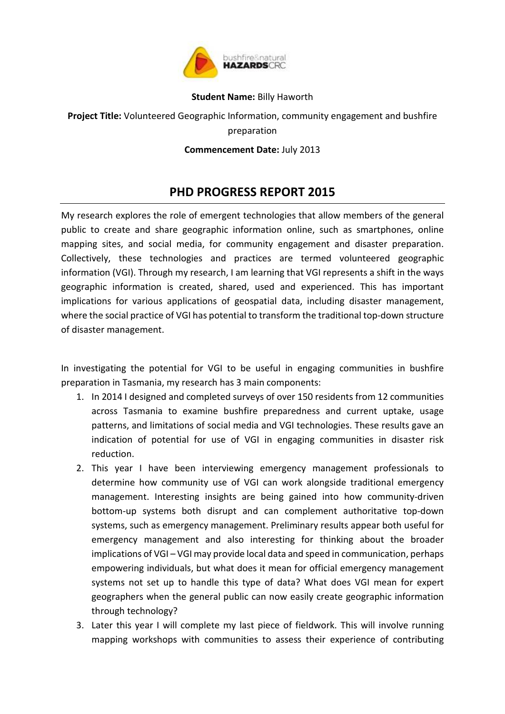

## **Student Name:** Billy Haworth

## **Project Title:** Volunteered Geographic Information, community engagement and bushfire preparation

## **Commencement Date:** July 2013

## **PHD PROGRESS REPORT 2015**

My research explores the role of emergent technologies that allow members of the general public to create and share geographic information online, such as smartphones, online mapping sites, and social media, for community engagement and disaster preparation. Collectively, these technologies and practices are termed volunteered geographic information (VGI). Through my research, I am learning that VGI represents a shift in the ways geographic information is created, shared, used and experienced. This has important implications for various applications of geospatial data, including disaster management, where the social practice of VGI has potential to transform the traditional top-down structure of disaster management.

In investigating the potential for VGI to be useful in engaging communities in bushfire preparation in Tasmania, my research has 3 main components:

- 1. In 2014 I designed and completed surveys of over 150 residents from 12 communities across Tasmania to examine bushfire preparedness and current uptake, usage patterns, and limitations of social media and VGI technologies. These results gave an indication of potential for use of VGI in engaging communities in disaster risk reduction.
- 2. This year I have been interviewing emergency management professionals to determine how community use of VGI can work alongside traditional emergency management. Interesting insights are being gained into how community-driven bottom-up systems both disrupt and can complement authoritative top-down systems, such as emergency management. Preliminary results appear both useful for emergency management and also interesting for thinking about the broader implications of VGI – VGI may provide local data and speed in communication, perhaps empowering individuals, but what does it mean for official emergency management systems not set up to handle this type of data? What does VGI mean for expert geographers when the general public can now easily create geographic information through technology?
- 3. Later this year I will complete my last piece of fieldwork. This will involve running mapping workshops with communities to assess their experience of contributing